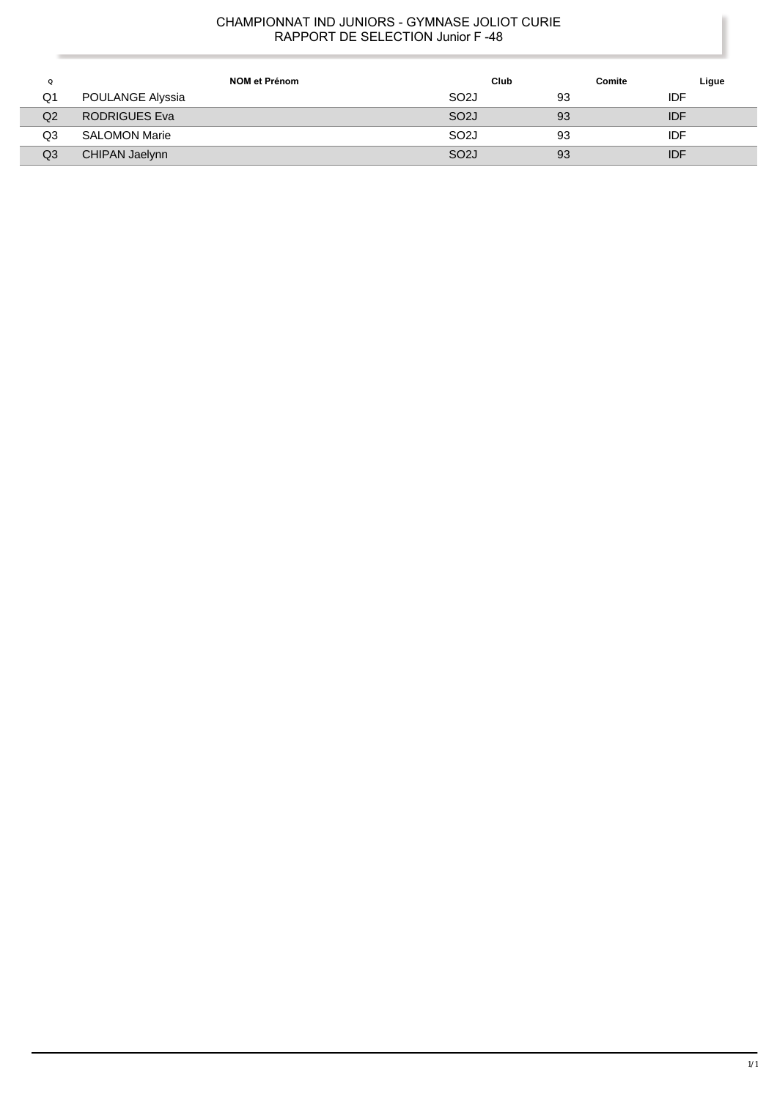| Q              | NOM et Prénom        | Club              | Comite | Ligue |
|----------------|----------------------|-------------------|--------|-------|
| Q1             | POULANGE Alyssia     | SO <sub>2</sub> J | 93     | IDF   |
| Q <sub>2</sub> | RODRIGUES Eva        | SO <sub>2</sub> J | 93     | IDF   |
| Q3             | <b>SALOMON Marie</b> | SO <sub>2</sub> J | 93     | IDF   |
| Q3             | CHIPAN Jaelynn       | SO <sub>2</sub>   | 93     | IDF   |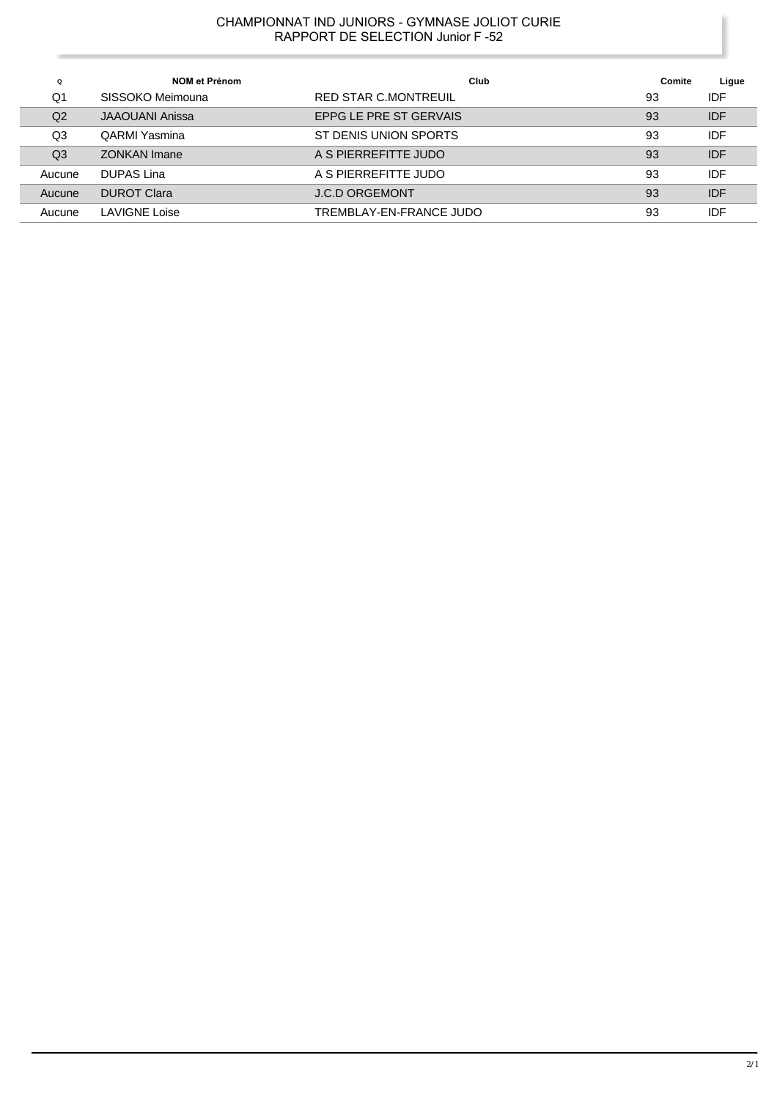| Q              | NOM et Prénom          | Club                    | Comite | Ligue      |
|----------------|------------------------|-------------------------|--------|------------|
| Q1             | SISSOKO Meimouna       | RED STAR C.MONTREUIL    | 93     | <b>IDF</b> |
| Q <sub>2</sub> | <b>JAAOUANI Anissa</b> | EPPG LE PRE ST GERVAIS  | 93     | <b>IDF</b> |
| Q3             | QARMI Yasmina          | ST DENIS UNION SPORTS   | 93     | <b>IDF</b> |
| Q <sub>3</sub> | <b>ZONKAN Imane</b>    | A S PIERREFITTE JUDO    | 93     | <b>IDF</b> |
| Aucune         | DUPAS Lina             | A S PIERREFITTE JUDO    | 93     | IDF        |
| Aucune         | <b>DUROT Clara</b>     | <b>J.C.D ORGEMONT</b>   | 93     | <b>IDF</b> |
| Aucune         | LAVIGNE Loise          | TREMBLAY-EN-FRANCE JUDO | 93     | IDF        |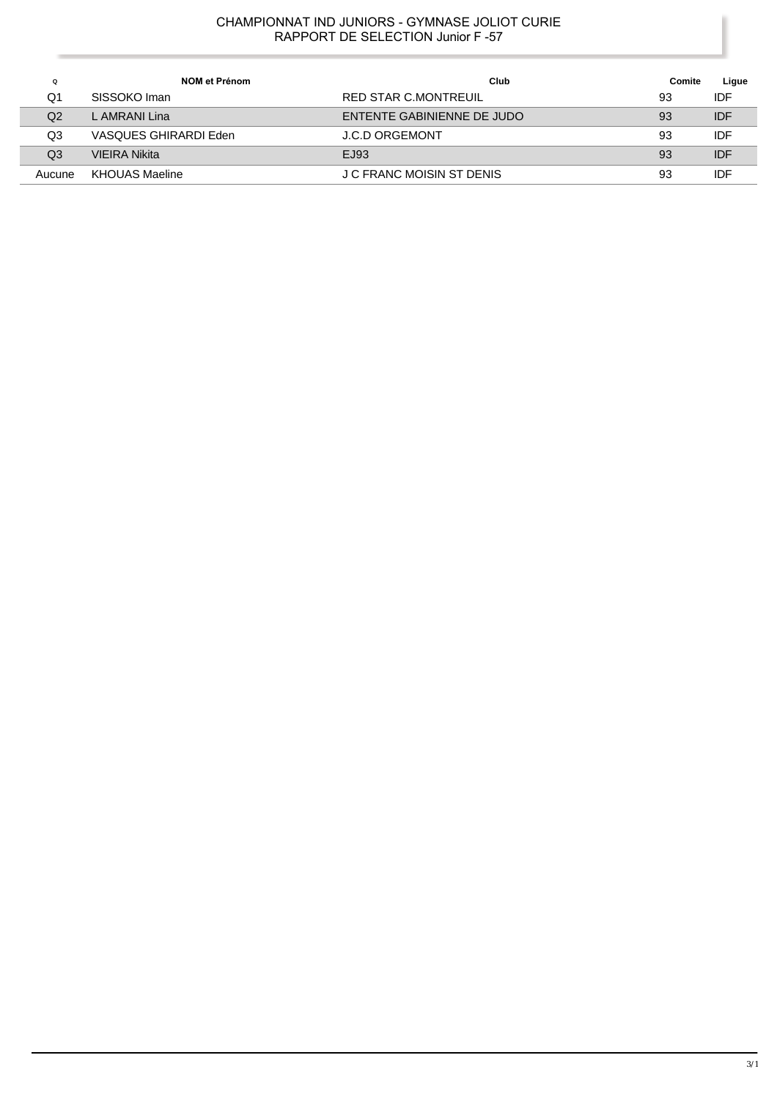| $\Omega$ | <b>NOM et Prénom</b>  | Club                       | Comite | Ligue      |
|----------|-----------------------|----------------------------|--------|------------|
| Q1       | SISSOKO Iman          | RED STAR C.MONTREUIL       | 93     | IDF        |
| Q2       | L AMRANI Lina         | ENTENTE GABINIENNE DE JUDO | 93     | <b>IDF</b> |
| Q3       | VASQUES GHIRARDI Eden | <b>J.C.D ORGEMONT</b>      | 93     | IDF        |
| Q3       | <b>VIEIRA Nikita</b>  | EJ93                       | 93     | <b>IDF</b> |
| Aucune   | <b>KHOUAS Maeline</b> | J C FRANC MOISIN ST DENIS  | 93     | IDF        |

l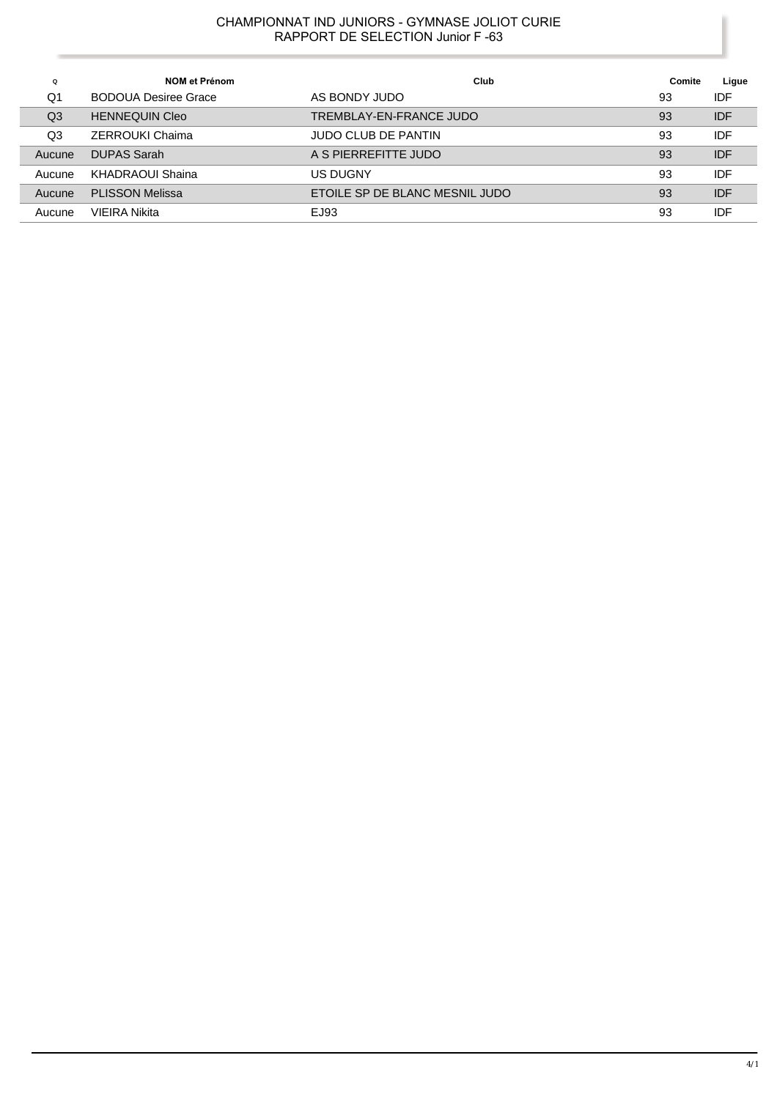| Q      | NOM et Prénom               | Club                           | Comite | Ligue      |
|--------|-----------------------------|--------------------------------|--------|------------|
| Q1     | <b>BODOUA Desiree Grace</b> | AS BONDY JUDO                  | 93     | IDF        |
| Q3     | <b>HENNEQUIN Cleo</b>       | TREMBLAY-EN-FRANCE JUDO        | 93     | <b>IDF</b> |
| Q3     | ZERROUKI Chaima             | <b>JUDO CLUB DE PANTIN</b>     | 93     | IDF        |
| Aucune | <b>DUPAS Sarah</b>          | A S PIERREFITTE JUDO           | 93     | <b>IDF</b> |
| Aucune | KHADRAOUI Shaina            | <b>US DUGNY</b>                | 93     | IDF        |
| Aucune | <b>PLISSON Melissa</b>      | ETOILE SP DE BLANC MESNIL JUDO | 93     | <b>IDF</b> |
| Aucune | VIEIRA Nikita               | EJ93                           | 93     | IDF        |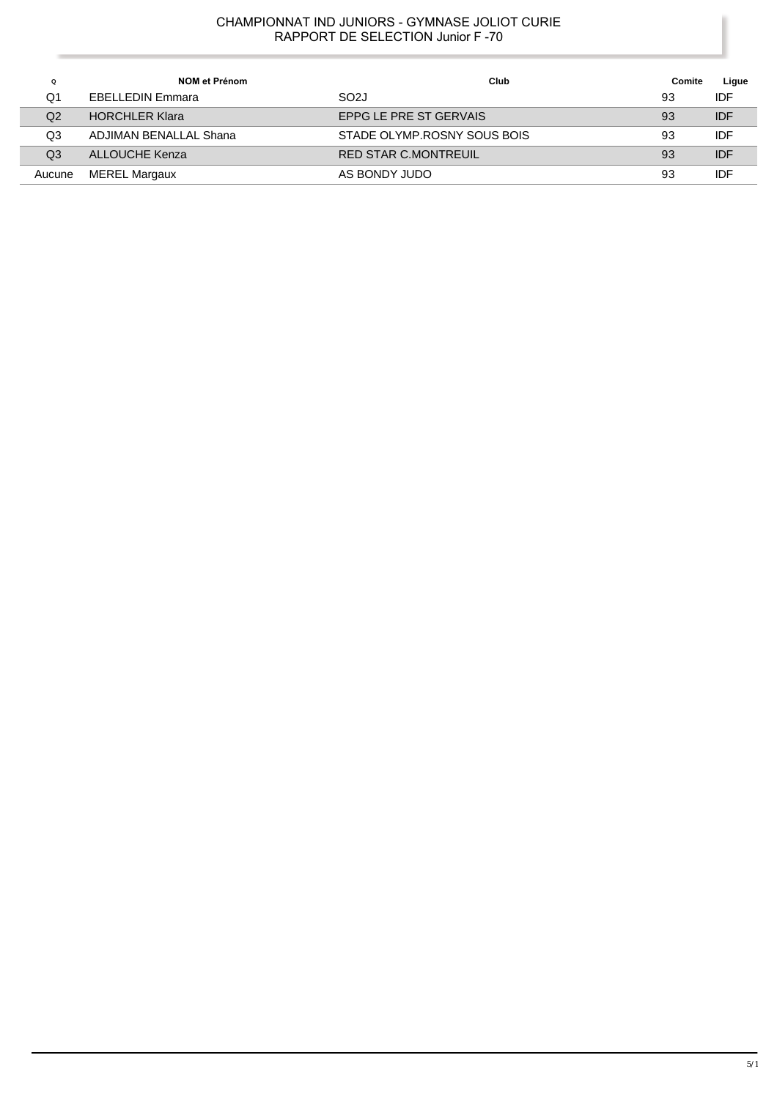| Q      | NOM et Prénom           | Club                        | Comite | Ligue      |
|--------|-------------------------|-----------------------------|--------|------------|
| Q1     | <b>EBELLEDIN Emmara</b> | SO <sub>2</sub> J           | 93     | <b>IDF</b> |
| Q2     | <b>HORCHLER Klara</b>   | EPPG LE PRE ST GERVAIS      | 93     | <b>IDF</b> |
| Q3     | ADJIMAN BENALLAL Shana  | STADE OLYMP.ROSNY SOUS BOIS | 93     | <b>IDF</b> |
| Q3     | ALLOUCHE Kenza          | <b>RED STAR C.MONTREUIL</b> | 93     | <b>IDF</b> |
| Aucune | <b>MEREL Margaux</b>    | AS BONDY JUDO               | 93     | <b>IDF</b> |

 $\overline{a}$ 

l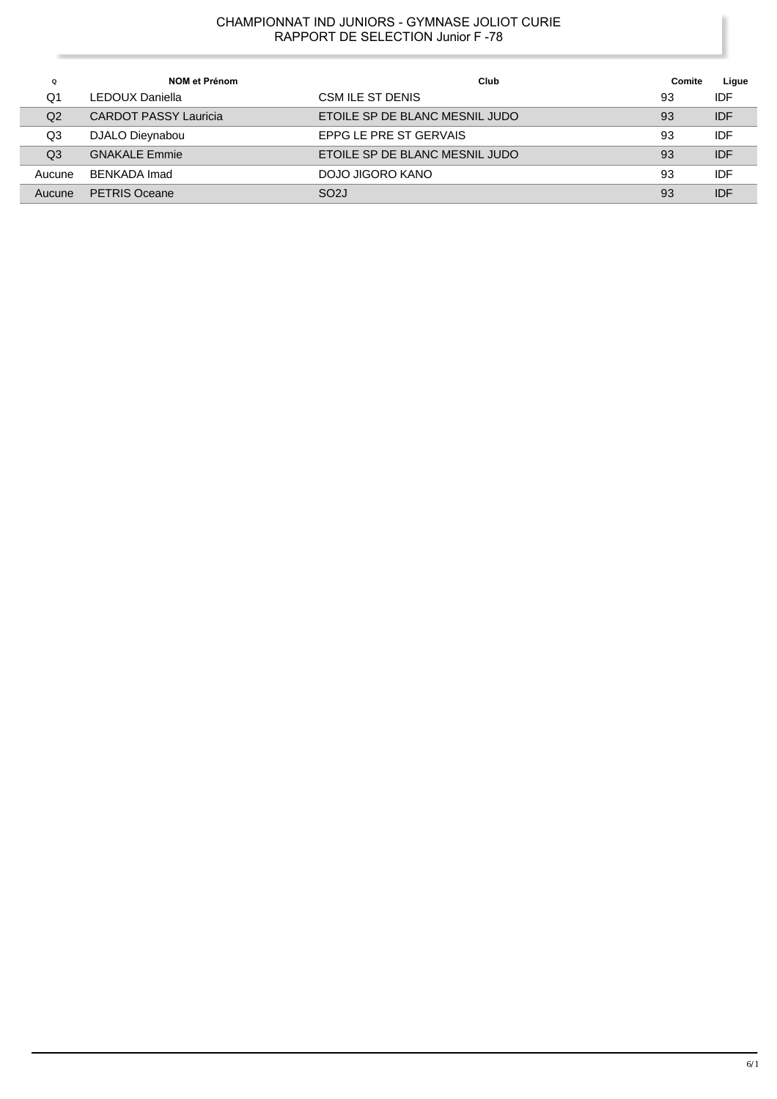| Q              | NOM et Prénom                | Club                           | Comite | Ligue      |
|----------------|------------------------------|--------------------------------|--------|------------|
| Q1             | LEDOUX Daniella              | CSM ILE ST DENIS               | 93     | IDF        |
| Q2             | <b>CARDOT PASSY Lauricia</b> | ETOILE SP DE BLANC MESNIL JUDO | 93     | <b>IDF</b> |
| Q3             | DJALO Dieynabou              | EPPG LE PRE ST GERVAIS         | 93     | IDF        |
| Q <sub>3</sub> | <b>GNAKALE Emmie</b>         | ETOILE SP DE BLANC MESNIL JUDO | 93     | <b>IDF</b> |
| Aucune         | BENKADA Imad                 | DOJO JIGORO KANO               | 93     | IDF        |
| Aucune         | <b>PETRIS Oceane</b>         | SO <sub>2</sub> J              | 93     | <b>IDF</b> |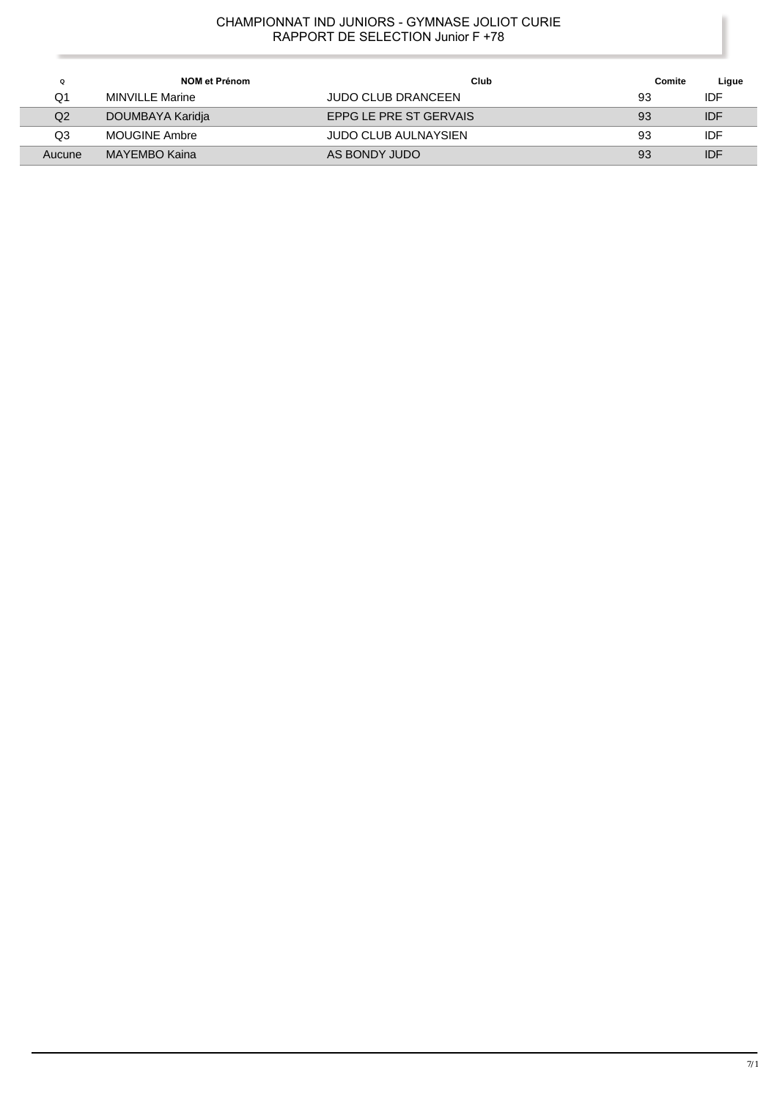| Q      | NOM et Prénom    | Club                        | Comite | Ligue      |
|--------|------------------|-----------------------------|--------|------------|
| Q1     | MINVILLE Marine  | <b>JUDO CLUB DRANCEEN</b>   | 93     | IDF        |
| Q2     | DOUMBAYA Karidja | EPPG LE PRE ST GERVAIS      | 93     | <b>IDF</b> |
| Q3     | MOUGINE Ambre    | <b>JUDO CLUB AULNAYSIEN</b> | 93     | IDF        |
| Aucune | MAYEMBO Kaina    | AS BONDY JUDO               | 93     | <b>IDF</b> |

 $\overline{\phantom{a}}$ 

Γ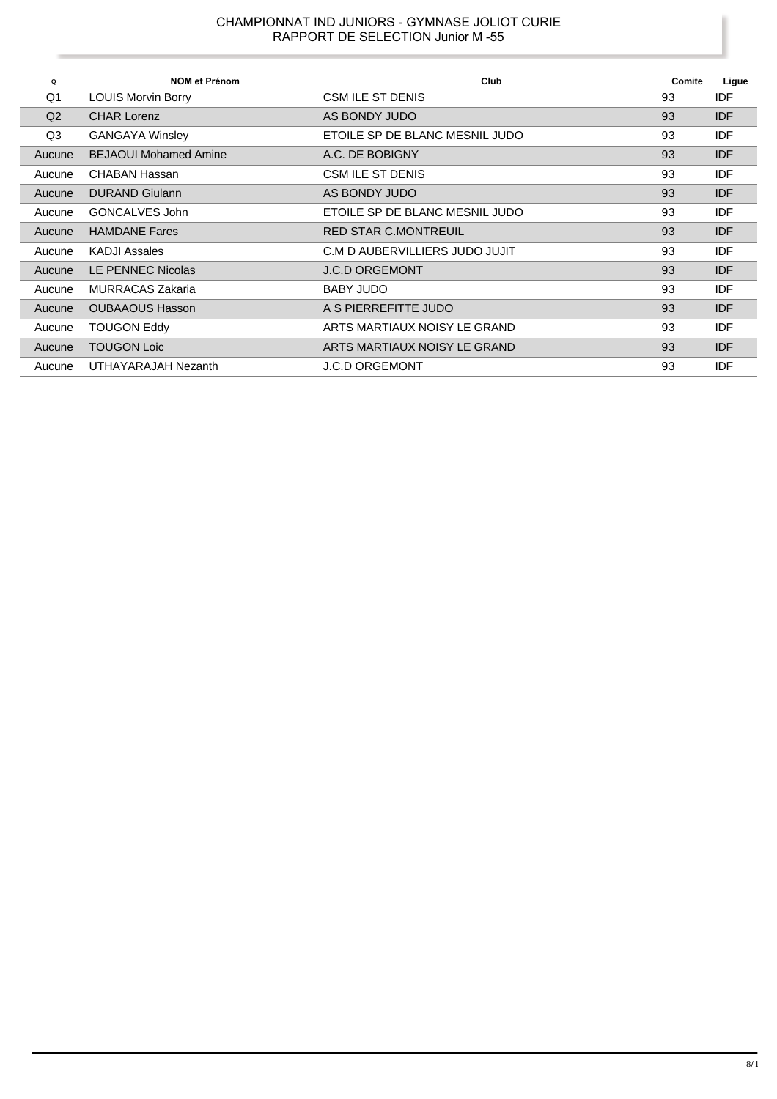| Q              | <b>NOM et Prénom</b>         | Club                           | Comite | Ligue      |
|----------------|------------------------------|--------------------------------|--------|------------|
| Q <sub>1</sub> | <b>LOUIS Morvin Borry</b>    | CSM ILE ST DENIS               | 93     | IDF        |
| Q <sub>2</sub> | <b>CHAR Lorenz</b>           | AS BONDY JUDO                  | 93     | <b>IDF</b> |
| Q3             | <b>GANGAYA Winsley</b>       | ETOILE SP DE BLANC MESNIL JUDO | 93     | <b>IDF</b> |
| Aucune         | <b>BEJAOUI Mohamed Amine</b> | A.C. DE BOBIGNY                | 93     | <b>IDF</b> |
| Aucune         | CHABAN Hassan                | CSM ILE ST DENIS               | 93     | IDF        |
| Aucune         | <b>DURAND Giulann</b>        | AS BONDY JUDO                  | 93     | <b>IDF</b> |
| Aucune         | GONCALVES John               | ETOILE SP DE BLANC MESNIL JUDO | 93     | IDF        |
| Aucune         | <b>HAMDANE Fares</b>         | <b>RED STAR C.MONTREUIL</b>    | 93     | <b>IDF</b> |
| Aucune         | <b>KADJI Assales</b>         | C.M D AUBERVILLIERS JUDO JUJIT | 93     | IDF        |
| Aucune         | LE PENNEC Nicolas            | <b>J.C.D ORGEMONT</b>          | 93     | <b>IDF</b> |
| Aucune         | <b>MURRACAS Zakaria</b>      | <b>BABY JUDO</b>               | 93     | IDF        |
| Aucune         | <b>OUBAAOUS Hasson</b>       | A S PIERREFITTE JUDO           | 93     | <b>IDF</b> |
| Aucune         | <b>TOUGON Eddy</b>           | ARTS MARTIAUX NOISY LE GRAND   | 93     | IDF        |
| Aucune         | <b>TOUGON Loic</b>           | ARTS MARTIAUX NOISY LE GRAND   | 93     | <b>IDF</b> |
| Aucune         | UTHAYARAJAH Nezanth          | <b>J.C.D ORGEMONT</b>          | 93     | IDF        |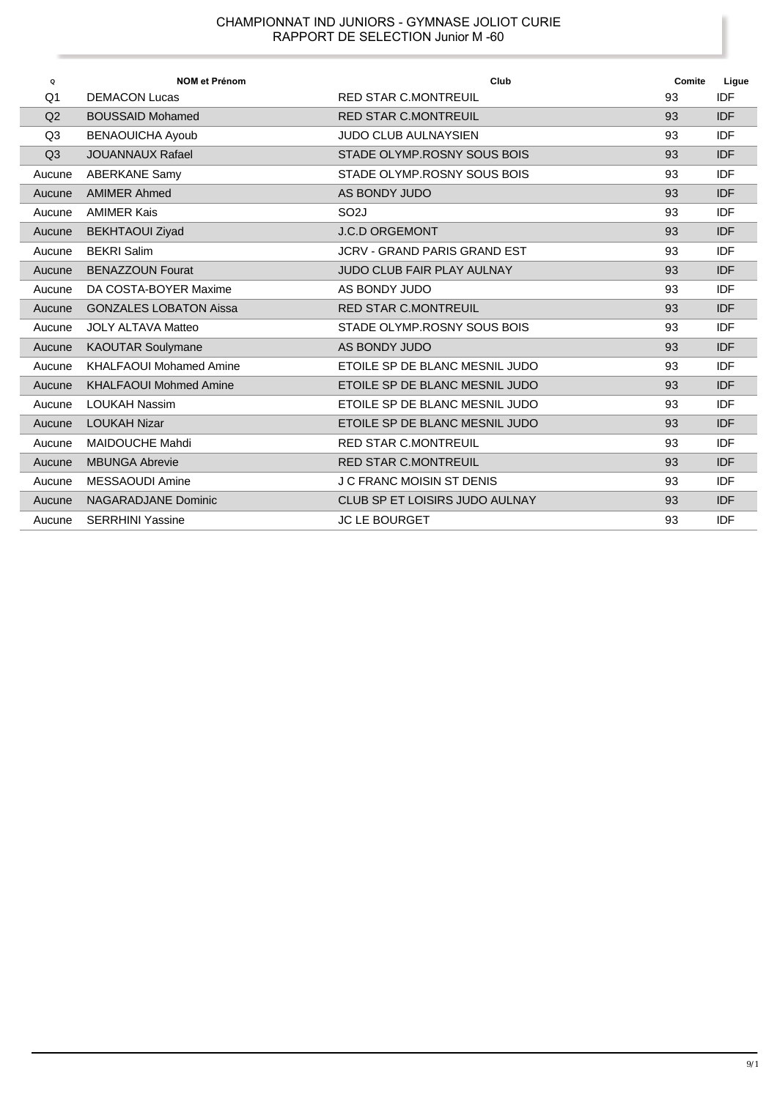| Q      | <b>NOM et Prénom</b>           | Club                                | Comite | Ligue      |
|--------|--------------------------------|-------------------------------------|--------|------------|
| Q1     | <b>DEMACON Lucas</b>           | <b>RED STAR C.MONTREUIL</b>         | 93     | <b>IDF</b> |
| Q2     | <b>BOUSSAID Mohamed</b>        | <b>RED STAR C.MONTREUIL</b>         | 93     | <b>IDF</b> |
| Q3     | <b>BENAOUICHA Ayoub</b>        | <b>JUDO CLUB AULNAYSIEN</b>         | 93     | <b>IDF</b> |
| Q3     | <b>JOUANNAUX Rafael</b>        | STADE OLYMP.ROSNY SOUS BOIS         | 93     | <b>IDF</b> |
| Aucune | <b>ABERKANE Samy</b>           | STADE OLYMP.ROSNY SOUS BOIS         | 93     | <b>IDF</b> |
| Aucune | <b>AMIMER Ahmed</b>            | AS BONDY JUDO                       | 93     | <b>IDF</b> |
| Aucune | <b>AMIMER Kais</b>             | SO <sub>2</sub> J                   | 93     | <b>IDF</b> |
| Aucune | <b>BEKHTAOUI Ziyad</b>         | <b>J.C.D ORGEMONT</b>               | 93     | <b>IDF</b> |
| Aucune | <b>BEKRI</b> Salim             | <b>JCRV - GRAND PARIS GRAND EST</b> | 93     | <b>IDF</b> |
| Aucune | <b>BENAZZOUN Fourat</b>        | <b>JUDO CLUB FAIR PLAY AULNAY</b>   | 93     | <b>IDF</b> |
| Aucune | DA COSTA-BOYER Maxime          | AS BONDY JUDO                       | 93     | <b>IDF</b> |
| Aucune | <b>GONZALES LOBATON Aissa</b>  | <b>RED STAR C.MONTREUIL</b>         | 93     | <b>IDF</b> |
| Aucune | <b>JOLY ALTAVA Matteo</b>      | STADE OLYMP.ROSNY SOUS BOIS         | 93     | <b>IDF</b> |
| Aucune | <b>KAOUTAR Soulymane</b>       | AS BONDY JUDO                       | 93     | <b>IDF</b> |
| Aucune | <b>KHALFAOUI Mohamed Amine</b> | ETOILE SP DE BLANC MESNIL JUDO      | 93     | <b>IDF</b> |
| Aucune | <b>KHALFAOUI Mohmed Amine</b>  | ETOILE SP DE BLANC MESNIL JUDO      | 93     | <b>IDF</b> |
| Aucune | <b>LOUKAH Nassim</b>           | ETOILE SP DE BLANC MESNIL JUDO      | 93     | <b>IDF</b> |
| Aucune | <b>LOUKAH Nizar</b>            | ETOILE SP DE BLANC MESNIL JUDO      | 93     | <b>IDF</b> |
| Aucune | <b>MAIDOUCHE Mahdi</b>         | <b>RED STAR C.MONTREUIL</b>         | 93     | <b>IDF</b> |
| Aucune | <b>MBUNGA Abrevie</b>          | <b>RED STAR C.MONTREUIL</b>         | 93     | <b>IDF</b> |
| Aucune | MESSAOUDI Amine                | <b>J C FRANC MOISIN ST DENIS</b>    | 93     | <b>IDF</b> |
| Aucune | <b>NAGARADJANE Dominic</b>     | CLUB SP ET LOISIRS JUDO AULNAY      | 93     | <b>IDF</b> |
| Aucune | <b>SERRHINI Yassine</b>        | <b>JC LE BOURGET</b>                | 93     | IDF        |

ï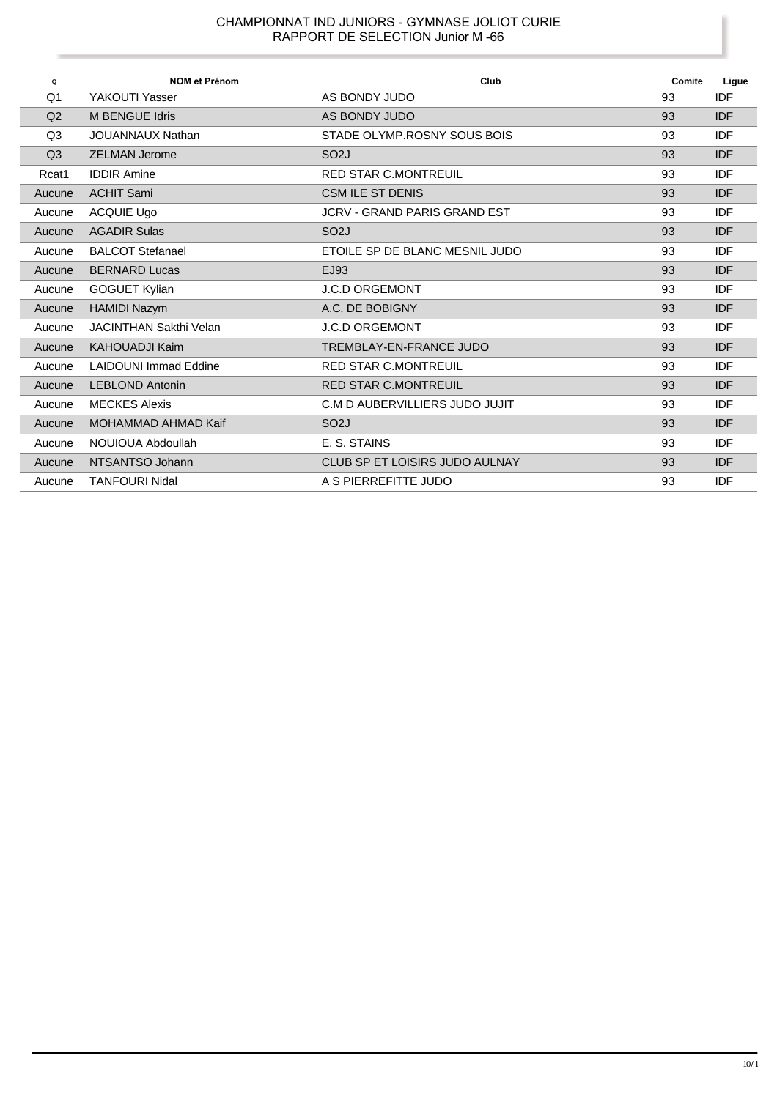| Q              | <b>NOM et Prénom</b>         | Club                                | Comite | Ligue      |
|----------------|------------------------------|-------------------------------------|--------|------------|
| Q1             | YAKOUTI Yasser               | AS BONDY JUDO                       | 93     | <b>IDF</b> |
| Q2             | M BENGUE Idris               | AS BONDY JUDO                       | 93     | <b>IDF</b> |
| Q <sub>3</sub> | <b>JOUANNAUX Nathan</b>      | STADE OLYMP.ROSNY SOUS BOIS         | 93     | <b>IDF</b> |
| Q <sub>3</sub> | <b>ZELMAN Jerome</b>         | SO <sub>2</sub> J                   | 93     | <b>IDF</b> |
| Rcat1          | <b>IDDIR Amine</b>           | <b>RED STAR C.MONTREUIL</b>         | 93     | <b>IDF</b> |
| Aucune         | <b>ACHIT Sami</b>            | <b>CSM ILE ST DENIS</b>             | 93     | <b>IDF</b> |
| Aucune         | <b>ACQUIE Ugo</b>            | <b>JCRV - GRAND PARIS GRAND EST</b> | 93     | <b>IDF</b> |
| Aucune         | <b>AGADIR Sulas</b>          | SO <sub>2</sub> J                   | 93     | <b>IDF</b> |
| Aucune         | <b>BALCOT Stefanael</b>      | ETOILE SP DE BLANC MESNIL JUDO      | 93     | <b>IDF</b> |
| Aucune         | <b>BERNARD Lucas</b>         | EJ93                                | 93     | <b>IDF</b> |
| Aucune         | <b>GOGUET Kylian</b>         | <b>J.C.D ORGEMONT</b>               | 93     | <b>IDF</b> |
| Aucune         | <b>HAMIDI Nazym</b>          | A.C. DE BOBIGNY                     | 93     | <b>IDF</b> |
| Aucune         | JACINTHAN Sakthi Velan       | <b>J.C.D ORGEMONT</b>               | 93     | <b>IDF</b> |
| Aucune         | <b>KAHOUADJI Kaim</b>        | TREMBLAY-EN-FRANCE JUDO             | 93     | <b>IDF</b> |
| Aucune         | <b>LAIDOUNI Immad Eddine</b> | <b>RED STAR C.MONTREUIL</b>         | 93     | <b>IDF</b> |
| Aucune         | <b>LEBLOND Antonin</b>       | <b>RED STAR C.MONTREUIL</b>         | 93     | <b>IDF</b> |
| Aucune         | <b>MECKES Alexis</b>         | C.M D AUBERVILLIERS JUDO JUJIT      | 93     | <b>IDF</b> |
| Aucune         | <b>MOHAMMAD AHMAD Kaif</b>   | SO <sub>2</sub> J                   | 93     | <b>IDF</b> |
| Aucune         | NOUIOUA Abdoullah            | E. S. STAINS                        | 93     | <b>IDF</b> |
| Aucune         | NTSANTSO Johann              | CLUB SP ET LOISIRS JUDO AULNAY      | 93     | <b>IDF</b> |
| Aucune         | <b>TANFOURI Nidal</b>        | A S PIERREFITTE JUDO                | 93     | <b>IDF</b> |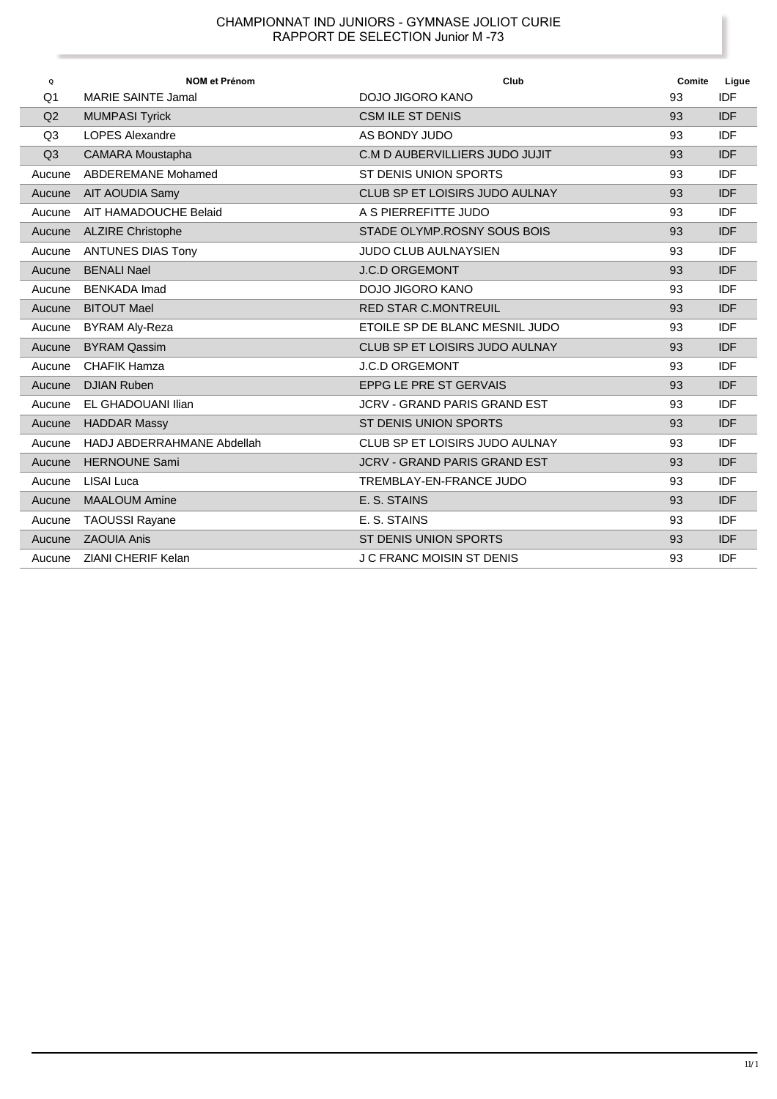| Q              | <b>NOM et Prénom</b>       | Club                                | Comite | Ligue      |
|----------------|----------------------------|-------------------------------------|--------|------------|
| Q1             | <b>MARIE SAINTE Jamal</b>  | DOJO JIGORO KANO                    | 93     | <b>IDF</b> |
| Q2             | <b>MUMPASI Tyrick</b>      | <b>CSM ILE ST DENIS</b>             | 93     | <b>IDF</b> |
| Q <sub>3</sub> | <b>LOPES Alexandre</b>     | AS BONDY JUDO                       | 93     | <b>IDF</b> |
| Q <sub>3</sub> | <b>CAMARA Moustapha</b>    | C.M D AUBERVILLIERS JUDO JUJIT      | 93     | <b>IDF</b> |
| Aucune         | ABDEREMANE Mohamed         | ST DENIS UNION SPORTS               | 93     | <b>IDF</b> |
| Aucune         | AIT AOUDIA Samy            | CLUB SP ET LOISIRS JUDO AULNAY      | 93     | <b>IDF</b> |
| Aucune         | AIT HAMADOUCHE Belaid      | A S PIERREFITTE JUDO                | 93     | <b>IDF</b> |
| Aucune         | <b>ALZIRE Christophe</b>   | STADE OLYMP.ROSNY SOUS BOIS         | 93     | <b>IDF</b> |
| Aucune         | <b>ANTUNES DIAS Tony</b>   | <b>JUDO CLUB AULNAYSIEN</b>         | 93     | <b>IDF</b> |
| Aucune         | <b>BENALI Nael</b>         | <b>J.C.D ORGEMONT</b>               | 93     | <b>IDF</b> |
| Aucune         | <b>BENKADA Imad</b>        | DOJO JIGORO KANO                    | 93     | <b>IDF</b> |
| Aucune         | <b>BITOUT Mael</b>         | <b>RED STAR C.MONTREUIL</b>         | 93     | <b>IDF</b> |
| Aucune         | BYRAM Aly-Reza             | ETOILE SP DE BLANC MESNIL JUDO      | 93     | <b>IDF</b> |
| Aucune         | <b>BYRAM Qassim</b>        | CLUB SP ET LOISIRS JUDO AULNAY      | 93     | <b>IDF</b> |
| Aucune         | <b>CHAFIK Hamza</b>        | <b>J.C.D ORGEMONT</b>               | 93     | <b>IDF</b> |
| Aucune         | <b>DJIAN Ruben</b>         | <b>EPPG LE PRE ST GERVAIS</b>       | 93     | <b>IDF</b> |
| Aucune         | EL GHADOUANI Ilian         | JCRV - GRAND PARIS GRAND EST        | 93     | <b>IDF</b> |
| Aucune         | <b>HADDAR Massy</b>        | ST DENIS UNION SPORTS               | 93     | <b>IDF</b> |
| Aucune         | HADJ ABDERRAHMANE Abdellah | CLUB SP ET LOISIRS JUDO AULNAY      | 93     | <b>IDF</b> |
| Aucune         | <b>HERNOUNE Sami</b>       | <b>JCRV - GRAND PARIS GRAND EST</b> | 93     | <b>IDF</b> |
| Aucune         | LISAI Luca                 | TREMBLAY-EN-FRANCE JUDO             | 93     | <b>IDF</b> |
| Aucune         | <b>MAALOUM Amine</b>       | E. S. STAINS                        | 93     | <b>IDF</b> |
| Aucune         | <b>TAOUSSI Rayane</b>      | E. S. STAINS                        | 93     | <b>IDF</b> |
| Aucune         | <b>ZAOUIA Anis</b>         | ST DENIS UNION SPORTS               | 93     | <b>IDF</b> |
| Aucune         | <b>ZIANI CHERIF Kelan</b>  | J C FRANC MOISIN ST DENIS           | 93     | <b>IDF</b> |

Ï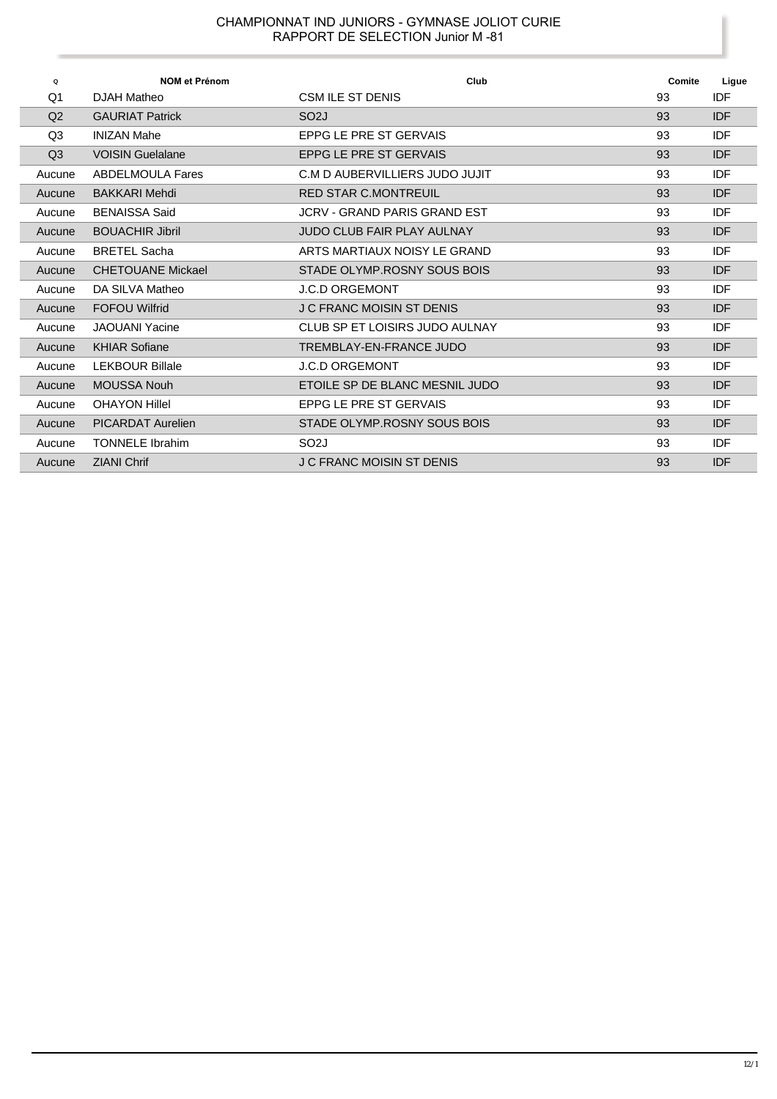| $\mathbf Q$    | <b>NOM et Prénom</b>     | Club                              | Comite | Ligue      |
|----------------|--------------------------|-----------------------------------|--------|------------|
| Q1             | DJAH Matheo              | CSM ILE ST DENIS                  | 93     | IDF        |
| Q <sub>2</sub> | <b>GAURIAT Patrick</b>   | SO <sub>2</sub> J                 | 93     | <b>IDF</b> |
| Q3             | <b>INIZAN Mahe</b>       | EPPG LE PRE ST GERVAIS            | 93     | <b>IDF</b> |
| Q <sub>3</sub> | <b>VOISIN Guelalane</b>  | EPPG LE PRE ST GERVAIS            | 93     | <b>IDF</b> |
| Aucune         | <b>ABDELMOULA Fares</b>  | C.M D AUBERVILLIERS JUDO JUJIT    | 93     | <b>IDF</b> |
| Aucune         | <b>BAKKARI Mehdi</b>     | <b>RED STAR C.MONTREUIL</b>       | 93     | <b>IDF</b> |
| Aucune         | <b>BENAISSA Said</b>     | JCRV - GRAND PARIS GRAND FST      | 93     | <b>IDF</b> |
| Aucune         | <b>BOUACHIR Jibril</b>   | <b>JUDO CLUB FAIR PLAY AULNAY</b> | 93     | <b>IDF</b> |
| Aucune         | <b>BRETEL Sacha</b>      | ARTS MARTIAUX NOISY LE GRAND      | 93     | <b>IDF</b> |
| Aucune         | <b>CHETOUANE Mickael</b> | STADE OLYMP.ROSNY SOUS BOIS       | 93     | <b>IDF</b> |
| Aucune         | DA SILVA Matheo          | <b>J.C.D ORGEMONT</b>             | 93     | <b>IDF</b> |
| Aucune         | <b>FOFOU Wilfrid</b>     | <b>J C FRANC MOISIN ST DENIS</b>  | 93     | <b>IDF</b> |
| Aucune         | <b>JAOUANI Yacine</b>    | CLUB SP FT LOISIRS JUDO AULNAY    | 93     | <b>IDF</b> |
| Aucune         | <b>KHIAR Sofiane</b>     | TREMBLAY-EN-FRANCE JUDO           | 93     | <b>IDF</b> |
| Aucune         | <b>LEKBOUR Billale</b>   | <b>J.C.D ORGEMONT</b>             | 93     | <b>IDF</b> |
| Aucune         | <b>MOUSSA Nouh</b>       | FTOILE SP DE BLANC MESNIL JUDO    | 93     | <b>IDF</b> |
| Aucune         | <b>OHAYON Hillel</b>     | EPPG LE PRE ST GERVAIS            | 93     | <b>IDF</b> |
| Aucune         | <b>PICARDAT Aurelien</b> | STADE OLYMP.ROSNY SOUS BOIS       | 93     | <b>IDF</b> |
| Aucune         | <b>TONNELE Ibrahim</b>   | SO <sub>2</sub> J                 | 93     | <b>IDF</b> |
| Aucune         | <b>ZIANI Chrif</b>       | <b>J C FRANC MOISIN ST DENIS</b>  | 93     | <b>IDF</b> |

Ï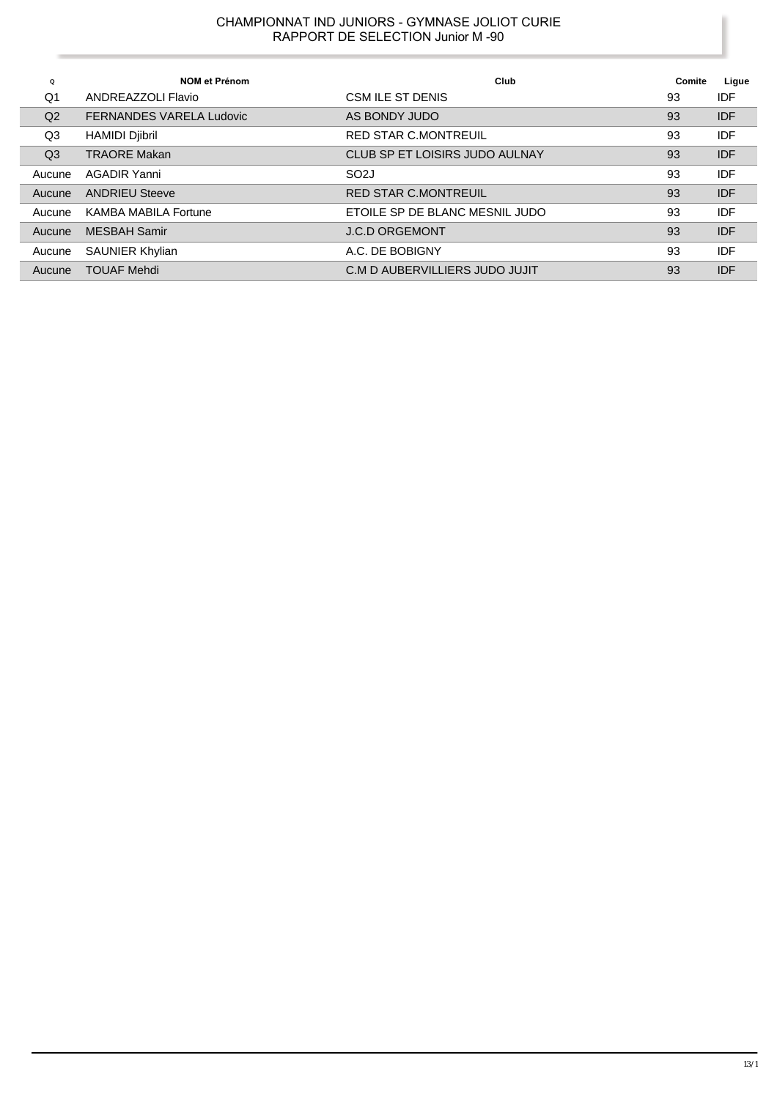| Q              | <b>NOM et Prénom</b>            | Club                           | Comite | Ligue      |
|----------------|---------------------------------|--------------------------------|--------|------------|
| Q1             | ANDREAZZOLI Flavio              | CSM ILE ST DENIS               | 93     | IDF        |
| Q <sub>2</sub> | <b>FERNANDES VARELA Ludovic</b> | AS BONDY JUDO                  | 93     | <b>IDF</b> |
| Q3             | <b>HAMIDI Djibril</b>           | <b>RED STAR C.MONTREUIL</b>    | 93     | <b>IDF</b> |
| Q <sub>3</sub> | <b>TRAORE Makan</b>             | CLUB SP ET LOISIRS JUDO AULNAY | 93     | <b>IDF</b> |
| Aucune         | AGADIR Yanni                    | SO <sub>2</sub> J              | 93     | IDF        |
| Aucune         | <b>ANDRIEU Steeve</b>           | <b>RED STAR C.MONTREUIL</b>    | 93     | <b>IDF</b> |
| Aucune         | <b>KAMBA MABILA Fortune</b>     | ETOILE SP DE BLANC MESNIL JUDO | 93     | <b>IDF</b> |
| Aucune         | <b>MESBAH Samir</b>             | <b>J.C.D ORGEMONT</b>          | 93     | <b>IDF</b> |
| Aucune         | <b>SAUNIER Khylian</b>          | A.C. DE BOBIGNY                | 93     | <b>IDF</b> |
| Aucune         | <b>TOUAF Mehdi</b>              | C.M D AUBERVILLIERS JUDO JUJIT | 93     | <b>IDF</b> |

Ï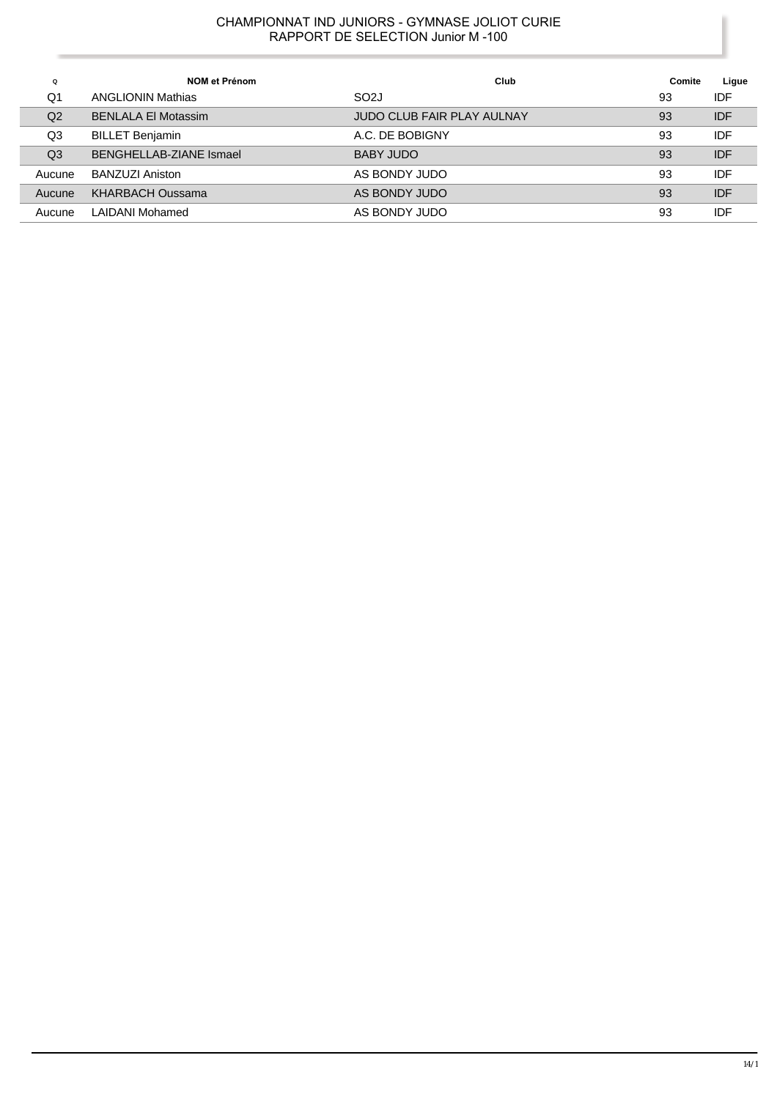| Q              | <b>NOM et Prénom</b>       | Club                              | Comite | Ligue      |
|----------------|----------------------------|-----------------------------------|--------|------------|
| Q1             | <b>ANGLIONIN Mathias</b>   | SO <sub>2</sub> J                 | 93     | IDF        |
| Q <sub>2</sub> | <b>BENLALA El Motassim</b> | <b>JUDO CLUB FAIR PLAY AULNAY</b> | 93     | <b>IDF</b> |
| Q3             | <b>BILLET Benjamin</b>     | A.C. DE BOBIGNY                   | 93     | IDF        |
| Q <sub>3</sub> | BENGHELLAB-ZIANE Ismael    | BABY JUDO                         | 93     | <b>IDF</b> |
| Aucune         | BANZUZI Aniston            | AS BONDY JUDO                     | 93     | IDF        |
| Aucune         | <b>KHARBACH Oussama</b>    | AS BONDY JUDO                     | 93     | <b>IDF</b> |
| Aucune         | LAIDANI Mohamed            | AS BONDY JUDO                     | 93     | IDF        |